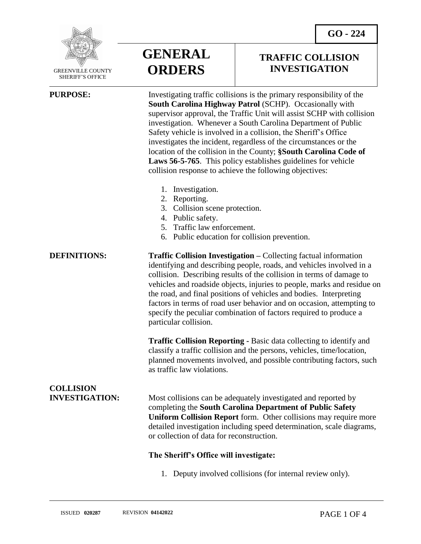

 GREENVILLE COUNTY SHERIFF'S OFFICE

 $\overline{a}$ 

**GENERAL ORDERS**

### **TRAFFIC COLLISION INVESTIGATION**

**PURPOSE:** Investigating traffic collisions is the primary responsibility of the **South Carolina Highway Patrol** (SCHP). Occasionally with supervisor approval, the Traffic Unit will assist SCHP with collision investigation. Whenever a South Carolina Department of Public Safety vehicle is involved in a collision, the Sheriff's Office investigates the incident, regardless of the circumstances or the location of the collision in the County; **§South Carolina Code of Laws 56-5-765**. This policy establishes guidelines for vehicle collision response to achieve the following objectives:

- 1. Investigation.
- 2. Reporting.
- 3. Collision scene protection.
- 4. Public safety.
- 5. Traffic law enforcement.
- 6. Public education for collision prevention.

**DEFINITIONS: Traffic Collision Investigation –** Collecting factual information identifying and describing people, roads, and vehicles involved in a collision. Describing results of the collision in terms of damage to vehicles and roadside objects, injuries to people, marks and residue on the road, and final positions of vehicles and bodies. Interpreting factors in terms of road user behavior and on occasion, attempting to specify the peculiar combination of factors required to produce a particular collision.

> **Traffic Collision Reporting -** Basic data collecting to identify and classify a traffic collision and the persons, vehicles, time/location, planned movements involved, and possible contributing factors, such as traffic law violations.

# **COLLISION**

**INVESTIGATION:** Most collisions can be adequately investigated and reported by completing the **South Carolina Department of Public Safety Uniform Collision Report** form. Other collisions may require more detailed investigation including speed determination, scale diagrams, or collection of data for reconstruction.

### **The Sheriff's Office will investigate:**

1. Deputy involved collisions (for internal review only).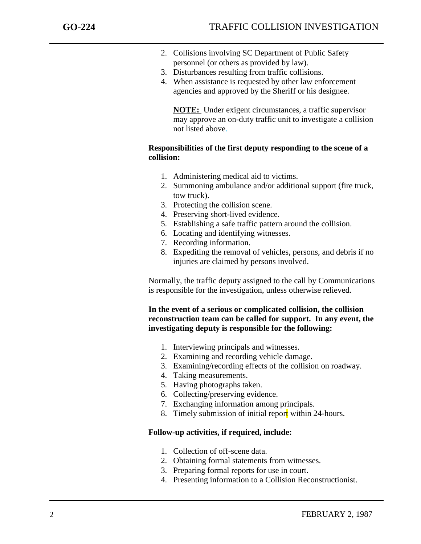j

- 2. Collisions involving SC Department of Public Safety personnel (or others as provided by law).
- 3. Disturbances resulting from traffic collisions.
- 4. When assistance is requested by other law enforcement agencies and approved by the Sheriff or his designee.

**NOTE:** Under exigent circumstances, a traffic supervisor may approve an on-duty traffic unit to investigate a collision not listed above.

#### **Responsibilities of the first deputy responding to the scene of a collision:**

- 1. Administering medical aid to victims.
- 2. Summoning ambulance and/or additional support (fire truck, tow truck).
- 3. Protecting the collision scene.
- 4. Preserving short-lived evidence.
- 5. Establishing a safe traffic pattern around the collision.
- 6. Locating and identifying witnesses.
- 7. Recording information.
- 8. Expediting the removal of vehicles, persons, and debris if no injuries are claimed by persons involved.

Normally, the traffic deputy assigned to the call by Communications is responsible for the investigation, unless otherwise relieved.

**In the event of a serious or complicated collision, the collision reconstruction team can be called for support. In any event, the investigating deputy is responsible for the following:**

- 1. Interviewing principals and witnesses.
- 2. Examining and recording vehicle damage.
- 3. Examining/recording effects of the collision on roadway.
- 4. Taking measurements.
- 5. Having photographs taken.
- 6. Collecting/preserving evidence.
- 7. Exchanging information among principals.
- 8. Timely submission of initial report within 24-hours.

#### **Follow-up activities, if required, include:**

- 1. Collection of off-scene data.
- 2. Obtaining formal statements from witnesses.
- 3. Preparing formal reports for use in court.
- 4. Presenting information to a Collision Reconstructionist.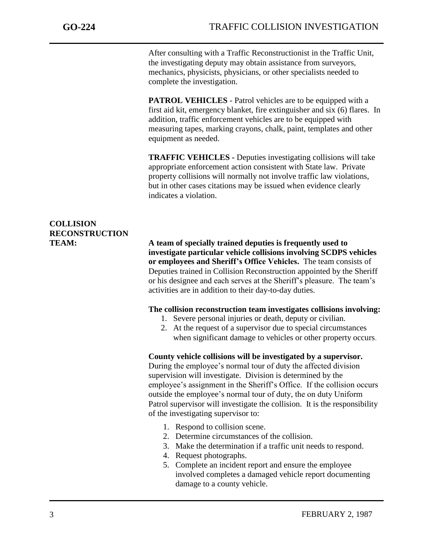j

After consulting with a Traffic Reconstructionist in the Traffic Unit, the investigating deputy may obtain assistance from surveyors, mechanics, physicists, physicians, or other specialists needed to complete the investigation.

**PATROL VEHICLES** - Patrol vehicles are to be equipped with a first aid kit, emergency blanket, fire extinguisher and six (6) flares. In addition, traffic enforcement vehicles are to be equipped with measuring tapes, marking crayons, chalk, paint, templates and other equipment as needed.

**TRAFFIC VEHICLES -** Deputies investigating collisions will take appropriate enforcement action consistent with State law. Private property collisions will normally not involve traffic law violations, but in other cases citations may be issued when evidence clearly indicates a violation.

## **COLLISION RECONSTRUCTION**

**TEAM: A team of specially trained deputies is frequently used to investigate particular vehicle collisions involving SCDPS vehicles or employees and Sheriff's Office Vehicles.** The team consists of Deputies trained in Collision Reconstruction appointed by the Sheriff or his designee and each serves at the Sheriff's pleasure. The team's activities are in addition to their day-to-day duties.

#### **The collision reconstruction team investigates collisions involving:**

- 1. Severe personal injuries or death, deputy or civilian.
- 2. At the request of a supervisor due to special circumstances when significant damage to vehicles or other property occurs.

### **County vehicle collisions will be investigated by a supervisor.**

During the employee's normal tour of duty the affected division supervision will investigate. Division is determined by the employee's assignment in the Sheriff's Office. If the collision occurs outside the employee's normal tour of duty, the on duty Uniform Patrol supervisor will investigate the collision. It is the responsibility of the investigating supervisor to:

- 1. Respond to collision scene.
- 2. Determine circumstances of the collision.
- 3. Make the determination if a traffic unit needs to respond.
- 4. Request photographs.
- 5. Complete an incident report and ensure the employee involved completes a damaged vehicle report documenting damage to a county vehicle.